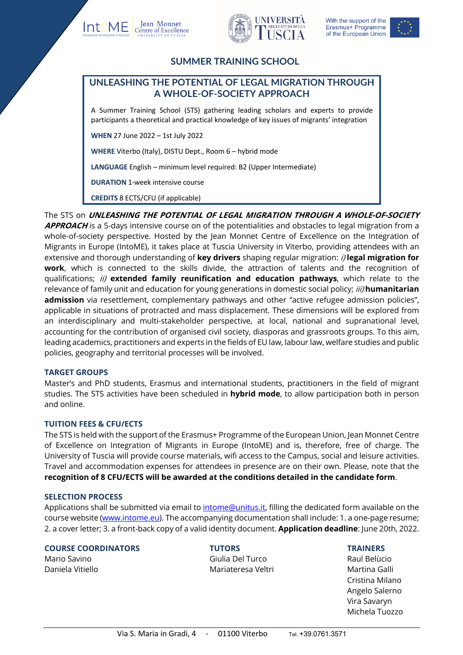







# **SUMMER TRAINING SCHOOL**

# **UNLEASHING THE POTENTIAL OF LEGAL MIGRATION THROUGH A WHOLE-OF-SOCIETY APPROACH**

A Summer Training School (STS) gathering leading scholars and experts to provide participants a theoretical and practical knowledge of key issues of migrants' integration

**WHEN** 27 June 2022 – 1st July 2022

**WHERE** Viterbo (Italy), DISTU Dept., Room 6 – hybrid mode

**LANGUAGE** English – minimum level required: B2 (Upper Intermediate)

**DURATION** 1-week intensive course

**CREDITS** 8 ECTS/CFU (if applicable)

The STS on **UNLEASHING THE POTENTIAL OF LEGAL MIGRATION THROUGH A WHOLE-OF-SOCIETY APPROACH** is a 5-days intensive course on of the potentialities and obstacles to legal migration from a whole-of-society perspective. Hosted by the Jean Monnet Centre of Excellence on the Integration of Migrants in Europe (IntoME), it takes place at Tuscia University in Viterbo, providing attendees with an extensive and thorough understanding of **key drivers** shaping regular migration: i) **legal migration for work**, which is connected to the skills divide, the attraction of talents and the recognition of qualifications; ii) **extended family reunification and education pathways**, which relate to the relevance of family unit and education for young generations in domestic social policy; iii) **humanitarian admission** via resettlement, complementary pathways and other "active refugee admission policies", applicable in situations of protracted and mass displacement. These dimensions will be explored from an interdisciplinary and multi-stakeholder perspective, at local, national and supranational level, accounting for the contribution of organised civil society, diasporas and grassroots groups. To this aim, leading academics, practitioners and experts in the fields of EU law, labour law, welfare studies and public policies, geography and territorial processes will be involved.

### **TARGET GROUPS**

Master's and PhD students, Erasmus and international students, practitioners in the field of migrant studies. The STS activities have been scheduled in **hybrid mode**, to allow participation both in person and online.

### **TUITION FEES & CFU/ECTS**

The STS is held with the support of the Erasmus+ Programme of the European Union, Jean Monnet Centre of Excellence on Integration of Migrants in Europe (IntoME) and is, therefore, free of charge. The University of Tuscia will provide course materials, wifi access to the Campus, social and leisure activities. Travel and accommodation expenses for attendees in presence are on their own. Please, note that the **recognition of 8 CFU/ECTS will be awarded at the conditions detailed in the candidate form**.

### **SELECTION PROCESS**

Applications shall be submitted via email to intome@unitus.it, filling the dedicated form available on the course website (www.intome.eu). The accompanying documentation shall include: 1. a one-page resume; 2. a cover letter; 3. a front-back copy of a valid identity document. **Application deadline**: June 20th, 2022.

### **COURSE COORDINATORS TUTORS TRAINERS**

Mario Savino Giulia Del Turco Raul Belùcio Daniela Vitiello Mariateresa Veltri Martina Galli

Cristina Milano Angelo Salerno Vira Savaryn Michela Tuozzo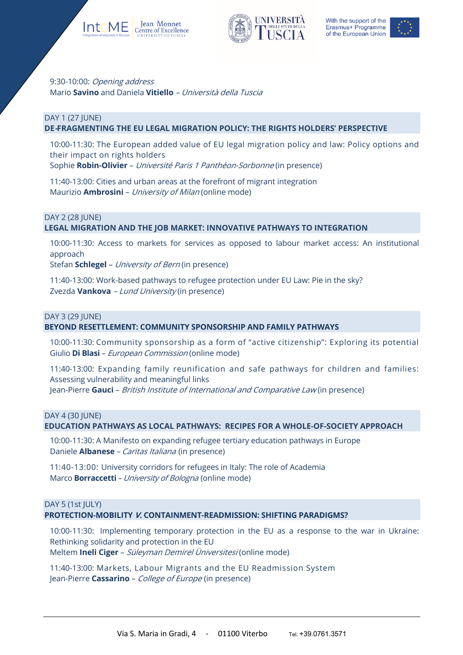





# 9:30-10:00: Opening address Mario **Savino** and Daniela **Vitiello** – Università della Tuscia

#### DAY 1 (27 JUNE) **DE-FRAGMENTING THE EU LEGAL MIGRATION POLICY: THE RIGHTS HOLDERS' PERSPECTIVE**

10:00-11:30: The European added value of EU legal migration policy and law: Policy options and their impact on rights holders

Sophie **Robin-Olivier** – Université Paris 1 Panthéon-Sorbonne (in presence)

11:40-13:00: Cities and urban areas at the forefront of migrant integration Maurizio **Ambrosini** – University of Milan (online mode)

### DAY 2 (28 JUNE)

## **LEGAL MIGRATION AND THE JOB MARKET: INNOVATIVE PATHWAYS TO INTEGRATION**

10:00-11:30: Access to markets for services as opposed to labour market access: An institutional approach

Stefan **Schlegel** – University of Bern (in presence)

11:40-13:00: Work-based pathways to refugee protection under EU Law: Pie in the sky? Zvezda **Vankova** – Lund University (in presence)

#### DAY 3 (29 JUNE)

### **BEYOND RESETTLEMENT: COMMUNITY SPONSORSHIP AND FAMILY PATHWAYS**

10:00-11:30: Community sponsorship as a form of "active citizenship": Exploring its potential Giulio **Di Blasi** – European Commission (online mode)

11:40-13:00: Expanding family reunification and safe pathways for children and families: Assessing vulnerability and meaningful links

Jean-Pierre **Gauci** – British Institute of International and Comparative Law (in presence)

#### DAY 4 (30 JUNE)

### **EDUCATION PATHWAYS AS LOCAL PATHWAYS: RECIPES FOR A WHOLE-OF-SOCIETY APPROACH**

10:00-11:30: A Manifesto on expanding refugee tertiary education pathways in Europe Daniele **Albanese** – Caritas Italiana (in presence)

11:40-13:00: University corridors for refugees in Italy: The role of Academia Marco **Borraccetti** – University of Bologna (online mode)

### DAY 5 (1st JULY)

**PROTECTION-MOBILITY V. CONTAINMENT-READMISSION: SHIFTING PARADIGMS?**

10:00-11:30: Implementing temporary protection in the EU as a response to the war in Ukraine: Rethinking solidarity and protection in the EU Meltem **Ineli Ciger** – Süleyman Demirel Üniversitesi (online mode)

11:40-13:00: Markets, Labour Migrants and the EU Readmission System Jean-Pierre **Cassarino** – College of Europe (in presence)